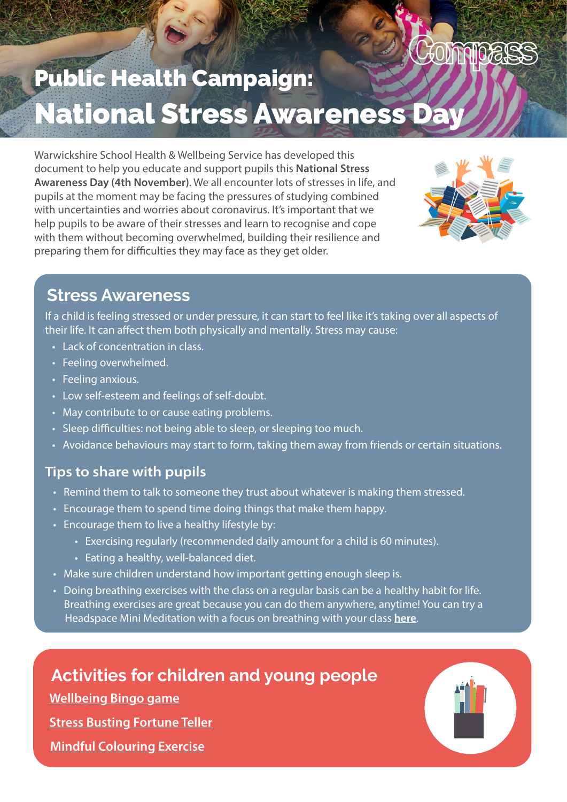# Commoas Public Health Campaign: **National Stress Awareness D**

Warwickshire School Health & Wellbeing Service has developed this document to help you educate and support pupils this National Stress Awareness Day (4th November). We all encounter lots of stresses in life, and pupils at the moment may be facing the pressures of studying combined with uncertainties and worries about coronavirus. It's important that we help pupils to be aware of their stresses and learn to recognise and cope with them without becoming overwhelmed, building their resilience and preparing them for difficulties they may face as they get older.



#### **Stress Awareness**

If a child is feeling stressed or under pressure, it can start to feel like it's taking over all aspects of their life. It can affect them both physically and mentally. Stress may cause:

- Lack of concentration in class.
- Feeling overwhelmed.
- Feeling anxious.
- Low self-esteem and feelings of self-doubt.
- May contribute to or cause eating problems.
- Sleep difficulties: not being able to sleep, or sleeping too much.
- Avoidance behaviours may start to form, taking them away from friends or certain situations.

#### Tips to share with pupils

- Remind them to talk to someone they trust about whatever is making them stressed.
- Encourage them to spend time doing things that make them happy.
- Encourage them to live a healthy lifestyle by:
	- Exercising regularly (recommended daily amount for a child is 60 minutes).
	- Eating a healthy, well-balanced diet.
- Make sure children understand how important getting enough sleep is.
- Doing breathing exercises with the class on a regular basis can be a healthy habit for life. Breathing exercises are great because you can do them anywhere, anytime! You can try a Headspace Mini Meditation with a focus on breathing with your class [here](https://youtu.be/c1Ndym-IsQg).

### **Activities for children and young people**

[Wellbeing Bingo game](https://youngminds.org.uk/media/2913/wellbeing-bingo.pdf)

**Stress Bustin[g Fortune Teller](https://cdn.memiah.co.uk/blog/wp-content/uploads/counselling-directory.org.uk/2018/04/Stress-Activity_PRINT.pdf)** 

[Mindful Colouring Exercise](https://cdn.memiah.co.uk/blog/wp-content/uploads/counselling-directory.org.uk/2017/09/MindfulColouring_Bookmarks_HappifulKids.jpg)